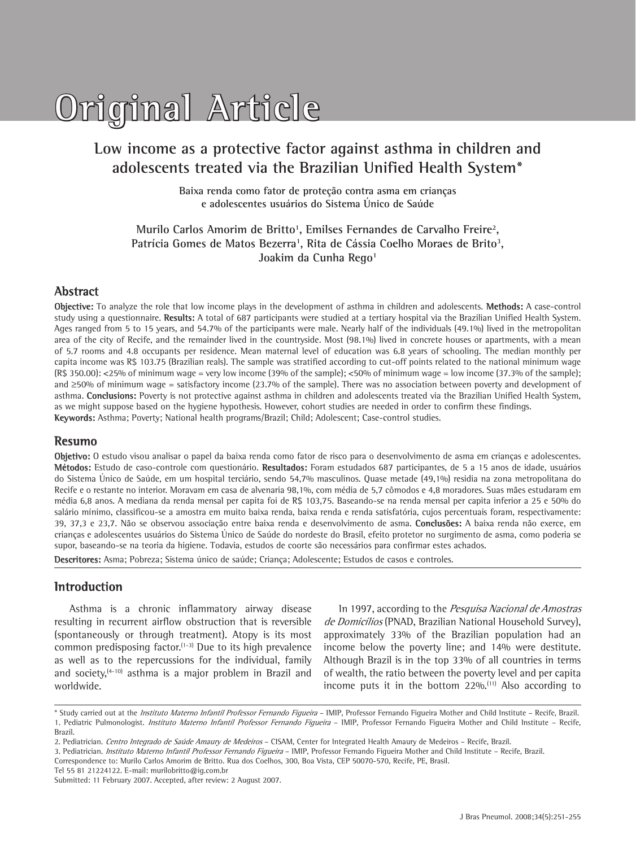# **Original Article**

# **Low income as a protective factor against asthma in children and adolescents treated via the Brazilian Unified Health System\***

**Baixa renda como fator de proteção contra asma em crianças e adolescentes usuários do Sistema Único de Saúde**

**Murilo Carlos Amorim de Britto1 , Emilses Fernandes de Carvalho Freire2 ,**  Patrícia Gomes de Matos Bezerra<sup>1</sup>, Rita de Cássia Coelho Moraes de Brito<sup>3</sup>, **Joakim da Cunha Rego1**

# **Abstract**

**Objective:** To analyze the role that low income plays in the development of asthma in children and adolescents. **Methods:** A case-control study using a questionnaire. **Results:** A total of 687 participants were studied at a tertiary hospital via the Brazilian Unified Health System. Ages ranged from 5 to 15 years, and 54.7% of the participants were male. Nearly half of the individuals (49.1%) lived in the metropolitan area of the city of Recife, and the remainder lived in the countryside. Most (98.1%) lived in concrete houses or apartments, with a mean of 5.7 rooms and 4.8 occupants per residence. Mean maternal level of education was 6.8 years of schooling. The median monthly per capita income was R\$ 103.75 (Brazilian reals). The sample was stratified according to cut-off points related to the national minimum wage (R\$ 350.00): <25% of minimum wage = very low income (39% of the sample); <50% of minimum wage = low income (37.3% of the sample); and ≥50% of minimum wage = satisfactory income (23.7% of the sample). There was no association between poverty and development of asthma. **Conclusions:** Poverty is not protective against asthma in children and adolescents treated via the Brazilian Unified Health System, as we might suppose based on the hygiene hypothesis. However, cohort studies are needed in order to confirm these findings. **Keywords:** Asthma; Poverty; National health programs/Brazil; Child; Adolescent; Case-control studies.

# **Resumo**

**Objetivo:** O estudo visou analisar o papel da baixa renda como fator de risco para o desenvolvimento de asma em crianças e adolescentes. **Métodos:** Estudo de caso-controle com questionário. **Resultados:** Foram estudados 687 participantes, de 5 a 15 anos de idade, usuários do Sistema Único de Saúde, em um hospital terciário, sendo 54,7% masculinos. Quase metade (49,1%) residia na zona metropolitana do Recife e o restante no interior. Moravam em casa de alvenaria 98,1%, com média de 5,7 cômodos e 4,8 moradores. Suas mães estudaram em média 6,8 anos. A mediana da renda mensal per capita foi de R\$ 103,75. Baseando-se na renda mensal per capita inferior a 25 e 50% do salário mínimo, classificou-se a amostra em muito baixa renda, baixa renda e renda satisfatória, cujos percentuais foram, respectivamente: 39, 37,3 e 23,7. Não se observou associação entre baixa renda e desenvolvimento de asma. **Conclusões:** A baixa renda não exerce, em crianças e adolescentes usuários do Sistema Único de Saúde do nordeste do Brasil, efeito protetor no surgimento de asma, como poderia se supor, baseando-se na teoria da higiene. Todavia, estudos de coorte são necessários para confirmar estes achados.

**Descritores:** Asma; Pobreza; Sistema único de saúde; Criança; Adolescente; Estudos de casos e controles.

# **Introduction**

Asthma is a chronic inflammatory airway disease resulting in recurrent airflow obstruction that is reversible (spontaneously or through treatment). Atopy is its most common predisposing factor.(1-3) Due to its high prevalence as well as to the repercussions for the individual, family and society, $(4-10)$  asthma is a major problem in Brazil and worldwide.

In 1997, according to the Pesquisa Nacional de Amostras de Domicílios (PNAD, Brazilian National Household Survey), approximately 33% of the Brazilian population had an income below the poverty line; and 14% were destitute. Although Brazil is in the top 33% of all countries in terms of wealth, the ratio between the poverty level and per capita income puts it in the bottom  $22\%$ .<sup>(11)</sup> Also according to

3. Pediatrician. Instituto Materno Infantil Professor Fernando Figueira - IMIP, Professor Fernando Figueira Mother and Child Institute - Recife, Brazil.

<sup>\*</sup> Study carried out at the *Instituto Materno Infantil Professor Fernando Figueira* – IMIP, Professor Fernando Figueira Mother and Child Institute - Recife, Brazil. 1. Pediatric Pulmonologist. *Instituto Materno Infantil Professor Fernando Figueira* - IMIP, Professor Fernando Figueira Mother and Child Institute - Recife, Brazil.

<sup>2.</sup> Pediatrician. Centro Integrado de Saúde Amaury de Medeiros - CISAM, Center for Integrated Health Amaury de Medeiros - Recife, Brazil.

Correspondence to: Murilo Carlos Amorim de Britto. Rua dos Coelhos, 300, Boa Vista, CEP 50070-570, Recife, PE, Brasil.

Tel 55 81 21224122. E-mail: murilobritto@ig.com.br

Submitted: 11 February 2007. Accepted, after review: 2 August 2007.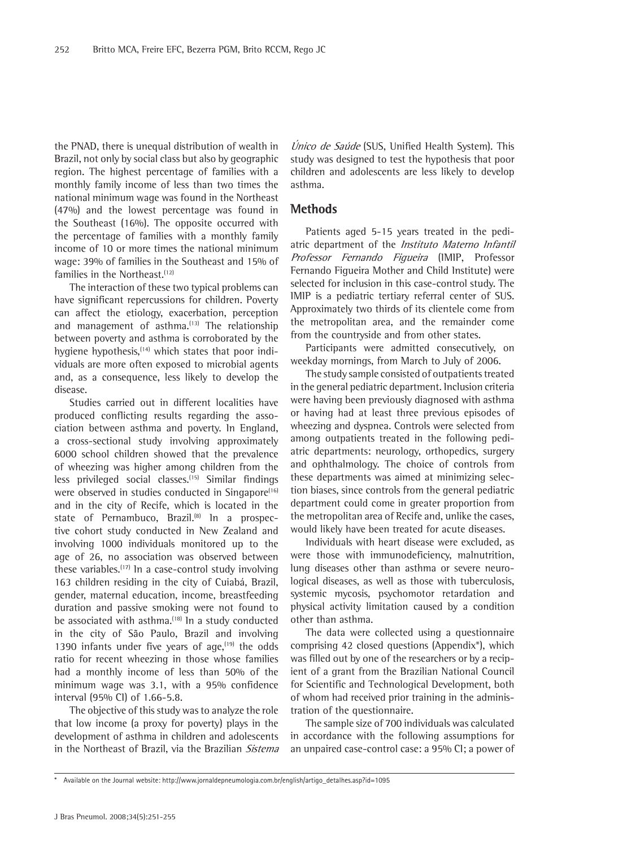the PNAD, there is unequal distribution of wealth in Brazil, not only by social class but also by geographic region. The highest percentage of families with a monthly family income of less than two times the national minimum wage was found in the Northeast (47%) and the lowest percentage was found in the Southeast (16%). The opposite occurred with the percentage of families with a monthly family income of 10 or more times the national minimum wage: 39% of families in the Southeast and 15% of families in the Northeast.<sup>(12)</sup>

The interaction of these two typical problems can have significant repercussions for children. Poverty can affect the etiology, exacerbation, perception and management of asthma. $^{(13)}$  The relationship between poverty and asthma is corroborated by the hygiene hypothesis, $<sup>(14)</sup>$  which states that poor indi-</sup> viduals are more often exposed to microbial agents and, as a consequence, less likely to develop the disease.

Studies carried out in different localities have produced conflicting results regarding the association between asthma and poverty. In England, a cross-sectional study involving approximately 6000 school children showed that the prevalence of wheezing was higher among children from the less privileged social classes.(15) Similar findings were observed in studies conducted in Singapore<sup>(16)</sup> and in the city of Recife, which is located in the state of Pernambuco, Brazil. $^{(8)}$  In a prospective cohort study conducted in New Zealand and involving 1000 individuals monitored up to the age of 26, no association was observed between these variables.<sup>(17)</sup> In a case-control study involving 163 children residing in the city of Cuiabá, Brazil, gender, maternal education, income, breastfeeding duration and passive smoking were not found to be associated with asthma.<sup>(18)</sup> In a study conducted in the city of São Paulo, Brazil and involving 1390 infants under five years of  $age, <sup>(19)</sup>$  the odds ratio for recent wheezing in those whose families had a monthly income of less than 50% of the minimum wage was 3.1, with a 95% confidence interval (95% CI) of 1.66-5.8.

The objective of this study was to analyze the role that low income (a proxy for poverty) plays in the development of asthma in children and adolescents in the Northeast of Brazil, via the Brazilian Sistema

Único de Saúde (SUS, Unified Health System). This study was designed to test the hypothesis that poor children and adolescents are less likely to develop asthma.

## **Methods**

Patients aged 5-15 years treated in the pediatric department of the Instituto Materno Infantil Professor Fernando Figueira (IMIP, Professor Fernando Figueira Mother and Child Institute) were selected for inclusion in this case-control study. The IMIP is a pediatric tertiary referral center of SUS. Approximately two thirds of its clientele come from the metropolitan area, and the remainder come from the countryside and from other states.

Participants were admitted consecutively, on weekday mornings, from March to July of 2006.

The study sample consisted of outpatients treated in the general pediatric department. Inclusion criteria were having been previously diagnosed with asthma or having had at least three previous episodes of wheezing and dyspnea. Controls were selected from among outpatients treated in the following pediatric departments: neurology, orthopedics, surgery and ophthalmology. The choice of controls from these departments was aimed at minimizing selection biases, since controls from the general pediatric department could come in greater proportion from the metropolitan area of Recife and, unlike the cases, would likely have been treated for acute diseases.

Individuals with heart disease were excluded, as were those with immunodeficiency, malnutrition, lung diseases other than asthma or severe neurological diseases, as well as those with tuberculosis, systemic mycosis, psychomotor retardation and physical activity limitation caused by a condition other than asthma.

The data were collected using a questionnaire comprising 42 closed questions (Appendix\*), which was filled out by one of the researchers or by a recipient of a grant from the Brazilian National Council for Scientific and Technological Development, both of whom had received prior training in the administration of the questionnaire.

The sample size of 700 individuals was calculated in accordance with the following assumptions for an unpaired case-control case: a 95% CI; a power of

<sup>\*</sup> Available on the Journal website: http://www.jornaldepneumologia.com.br/english/artigo\_detalhes.asp?id=1095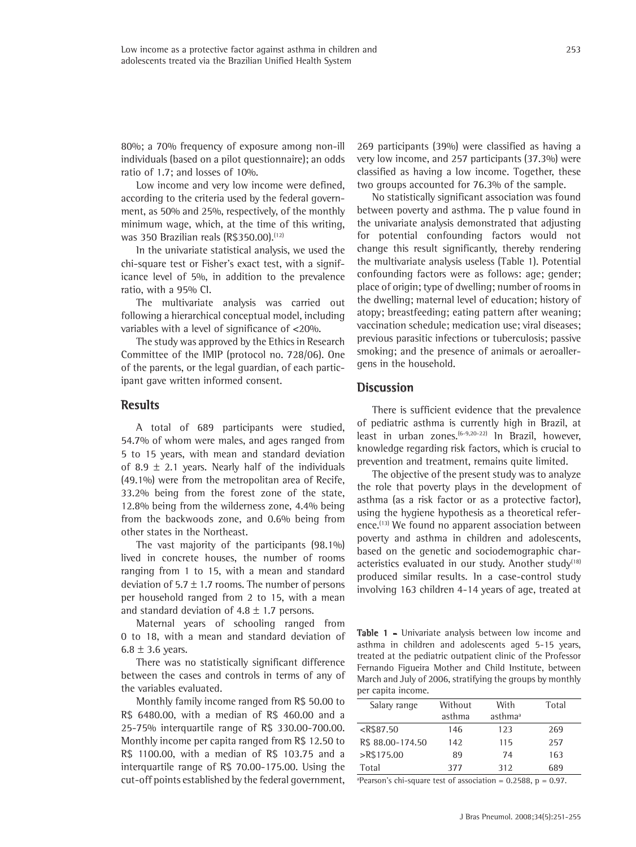253

80%; a 70% frequency of exposure among non-ill individuals (based on a pilot questionnaire); an odds ratio of 1.7; and losses of 10%.

Low income and very low income were defined, according to the criteria used by the federal government, as 50% and 25%, respectively, of the monthly minimum wage, which, at the time of this writing, was 350 Brazilian reals (R\$350.00).(12)

In the univariate statistical analysis, we used the chi-square test or Fisher's exact test, with a significance level of 5%, in addition to the prevalence ratio, with a 95% CI.

The multivariate analysis was carried out following a hierarchical conceptual model, including variables with a level of significance of <20%.

The study was approved by the Ethics in Research Committee of the IMIP (protocol no. 728/06). One of the parents, or the legal guardian, of each participant gave written informed consent.

#### **Results**

A total of 689 participants were studied, 54.7% of whom were males, and ages ranged from 5 to 15 years, with mean and standard deviation of 8.9  $\pm$  2.1 years. Nearly half of the individuals (49.1%) were from the metropolitan area of Recife, 33.2% being from the forest zone of the state, 12.8% being from the wilderness zone, 4.4% being from the backwoods zone, and 0.6% being from other states in the Northeast.

The vast majority of the participants (98.1%) lived in concrete houses, the number of rooms ranging from 1 to 15, with a mean and standard deviation of 5.7  $\pm$  1.7 rooms. The number of persons per household ranged from 2 to 15, with a mean and standard deviation of 4.8  $\pm$  1.7 persons.

Maternal years of schooling ranged from 0 to 18, with a mean and standard deviation of  $6.8 \pm 3.6$  years.

There was no statistically significant difference between the cases and controls in terms of any of the variables evaluated.

Monthly family income ranged from R\$ 50.00 to R\$ 6480.00, with a median of R\$ 460.00 and a 25-75% interquartile range of R\$ 330.00-700.00. Monthly income per capita ranged from R\$ 12.50 to R\$ 1100.00, with a median of R\$ 103.75 and a interquartile range of R\$ 70.00-175.00. Using the cut-off points established by the federal government,

269 participants (39%) were classified as having a very low income, and 257 participants (37.3%) were classified as having a low income. Together, these two groups accounted for 76.3% of the sample.

No statistically significant association was found between poverty and asthma. The p value found in the univariate analysis demonstrated that adjusting for potential confounding factors would not change this result significantly, thereby rendering the multivariate analysis useless (Table 1). Potential confounding factors were as follows: age; gender; place of origin; type of dwelling; number of rooms in the dwelling; maternal level of education; history of atopy; breastfeeding; eating pattern after weaning; vaccination schedule; medication use; viral diseases; previous parasitic infections or tuberculosis; passive smoking; and the presence of animals or aeroallergens in the household.

# **Discussion**

There is sufficient evidence that the prevalence of pediatric asthma is currently high in Brazil, at least in urban zones.(6-9,20-22) In Brazil, however, knowledge regarding risk factors, which is crucial to prevention and treatment, remains quite limited.

The objective of the present study was to analyze the role that poverty plays in the development of asthma (as a risk factor or as a protective factor), using the hygiene hypothesis as a theoretical reference.<sup>(13)</sup> We found no apparent association between poverty and asthma in children and adolescents, based on the genetic and sociodemographic characteristics evaluated in our study. Another study $(18)$ produced similar results. In a case-control study involving 163 children 4-14 years of age, treated at

**Table 1 -** Univariate analysis between low income and asthma in children and adolescents aged 5-15 years, treated at the pediatric outpatient clinic of the Professor Fernando Figueira Mother and Child Institute, between March and July of 2006, stratifying the groups by monthly per capita income.

| Salary range     | Without | With                | Total |
|------------------|---------|---------------------|-------|
|                  | asthma  | asthma <sup>a</sup> |       |
| $<$ R\$87.50     | 146     | 123                 | 269   |
| R\$ 88.00-174.50 | 142     | 115                 | 257   |
| >R\$175.00       | 89      | 74                  | 163   |
| Total            | 377     | 312                 | 689   |

 ${}^{a}$ Pearson's chi-square test of association = 0.2588, p = 0.97.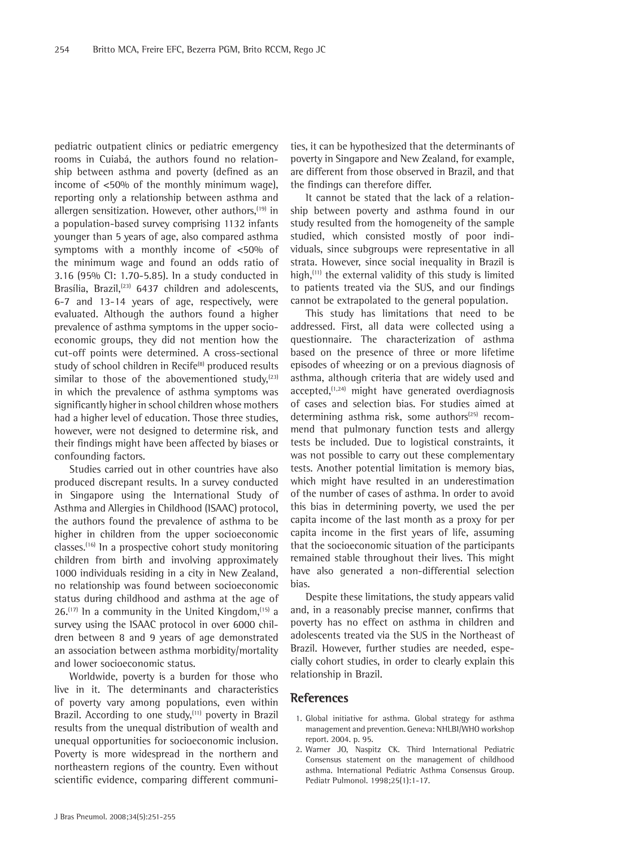pediatric outpatient clinics or pediatric emergency rooms in Cuiabá, the authors found no relationship between asthma and poverty (defined as an income of <50% of the monthly minimum wage), reporting only a relationship between asthma and allergen sensitization. However, other authors,  $(19)$  in a population-based survey comprising 1132 infants younger than 5 years of age, also compared asthma symptoms with a monthly income of <50% of the minimum wage and found an odds ratio of 3.16 (95% CI: 1.70-5.85). In a study conducted in Brasília, Brazil, $(23)$  6437 children and adolescents, 6-7 and 13-14 years of age, respectively, were evaluated. Although the authors found a higher prevalence of asthma symptoms in the upper socioeconomic groups, they did not mention how the cut-off points were determined. A cross-sectional study of school children in Recife<sup>(8)</sup> produced results similar to those of the abovementioned study, $^{(23)}$ in which the prevalence of asthma symptoms was significantly higher in school children whose mothers had a higher level of education. Those three studies, however, were not designed to determine risk, and their findings might have been affected by biases or confounding factors.

Studies carried out in other countries have also produced discrepant results. In a survey conducted in Singapore using the International Study of Asthma and Allergies in Childhood (ISAAC) protocol, the authors found the prevalence of asthma to be higher in children from the upper socioeconomic classes.(16) In a prospective cohort study monitoring children from birth and involving approximately 1000 individuals residing in a city in New Zealand, no relationship was found between socioeconomic status during childhood and asthma at the age of  $26^{(17)}$  ln a community in the United Kingdom,  $(15)$  a survey using the ISAAC protocol in over 6000 children between 8 and 9 years of age demonstrated an association between asthma morbidity/mortality and lower socioeconomic status.

Worldwide, poverty is a burden for those who live in it. The determinants and characteristics of poverty vary among populations, even within Brazil. According to one study,<sup>(11)</sup> poverty in Brazil results from the unequal distribution of wealth and unequal opportunities for socioeconomic inclusion. Poverty is more widespread in the northern and northeastern regions of the country. Even without scientific evidence, comparing different communities, it can be hypothesized that the determinants of poverty in Singapore and New Zealand, for example, are different from those observed in Brazil, and that the findings can therefore differ.

It cannot be stated that the lack of a relationship between poverty and asthma found in our study resulted from the homogeneity of the sample studied, which consisted mostly of poor individuals, since subgroups were representative in all strata. However, since social inequality in Brazil is high,<sup>(11)</sup> the external validity of this study is limited to patients treated via the SUS, and our findings cannot be extrapolated to the general population.

This study has limitations that need to be addressed. First, all data were collected using a questionnaire. The characterization of asthma based on the presence of three or more lifetime episodes of wheezing or on a previous diagnosis of asthma, although criteria that are widely used and  $b$ accepted,<sup> $(1,24)$ </sup> might have generated overdiagnosis of cases and selection bias. For studies aimed at determining asthma risk, some authors<sup> $(25)$ </sup> recommend that pulmonary function tests and allergy tests be included. Due to logistical constraints, it was not possible to carry out these complementary tests. Another potential limitation is memory bias, which might have resulted in an underestimation of the number of cases of asthma. In order to avoid this bias in determining poverty, we used the per capita income of the last month as a proxy for per capita income in the first years of life, assuming that the socioeconomic situation of the participants remained stable throughout their lives. This might have also generated a non-differential selection bias.

Despite these limitations, the study appears valid and, in a reasonably precise manner, confirms that poverty has no effect on asthma in children and adolescents treated via the SUS in the Northeast of Brazil. However, further studies are needed, especially cohort studies, in order to clearly explain this relationship in Brazil.

# **References**

- 1. Global initiative for asthma. Global strategy for asthma management and prevention. Geneva: NHLBI/WHO workshop report. 2004. p. 95.
- 2. Warner JO, Naspitz CK. Third International Pediatric Consensus statement on the management of childhood asthma. International Pediatric Asthma Consensus Group. Pediatr Pulmonol. 1998;25(1):1-17.